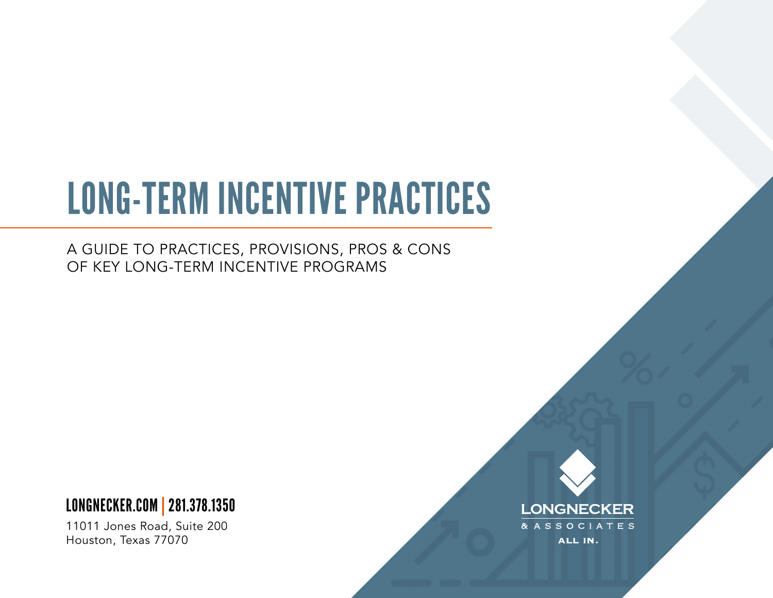# LONG-TERM INCENTIVE PRACTICES

A GUIDE TO PRACTICES, PROVISIONS, PROS & CONS OF KEY LONG-TERM INCENTIVE PROGRAMS

### [LONGNECKER.COM | 281.378.1350](https://www.longnecker.com)

11011 Jones Road, Suite 200 Houston, Texas 77070

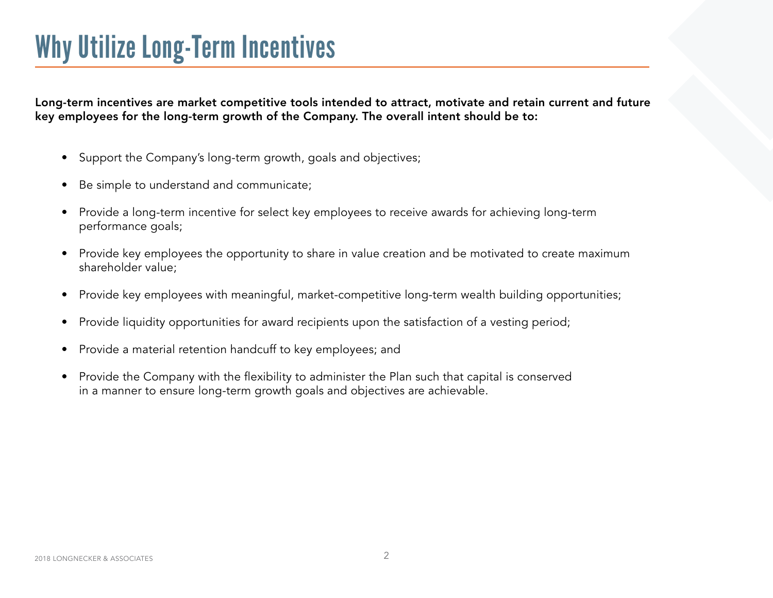### Why Utilize Long-Term Incentives

Long-term incentives are market competitive tools intended to attract, motivate and retain current and future key employees for the long-term growth of the Company. The overall intent should be to:

- Support the Company's long-term growth, goals and objectives;
- Be simple to understand and communicate;
- Provide a long-term incentive for select key employees to receive awards for achieving long-term performance goals;
- Provide key employees the opportunity to share in value creation and be motivated to create maximum shareholder value;
- Provide key employees with meaningful, market-competitive long-term wealth building opportunities;
- Provide liquidity opportunities for award recipients upon the satisfaction of a vesting period;
- Provide a material retention handcuff to key employees; and
- Provide the Company with the flexibility to administer the Plan such that capital is conserved in a manner to ensure long-term growth goals and objectives are achievable.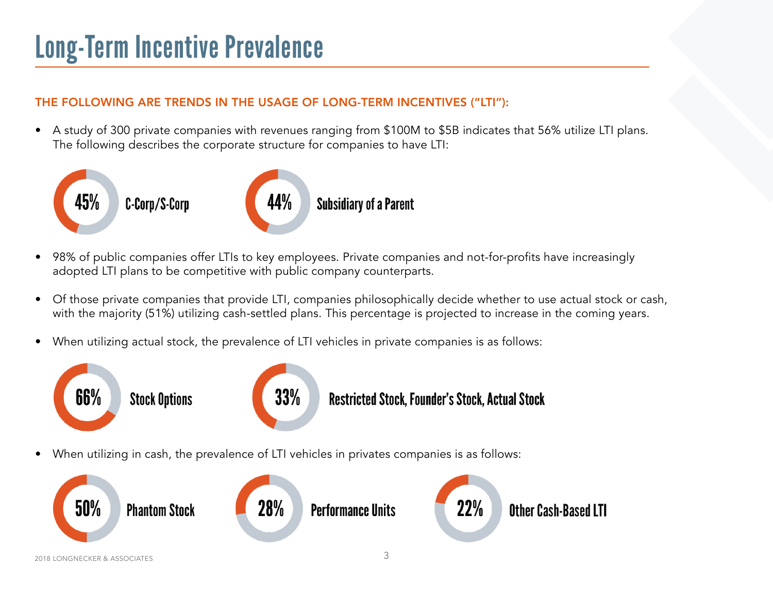## Long-Term Incentive Prevalence

### THE FOLLOWING ARE TRENDS IN THE USAGE OF LONG-TERM INCENTIVES ("LTI"):

• A study of 300 private companies with revenues ranging from \$100M to \$5B indicates that 56% utilize LTI plans. The following describes the corporate structure for companies to have LTI:



- 98% of public companies offer LTIs to key employees. Private companies and not-for-profits have increasingly adopted LTI plans to be competitive with public company counterparts.
- Of those private companies that provide LTI, companies philosophically decide whether to use actual stock or cash, with the majority (51%) utilizing cash-settled plans. This percentage is projected to increase in the coming years.
- When utilizing actual stock, the prevalence of LTI vehicles in private companies is as follows:



• When utilizing in cash, the prevalence of LTI vehicles in privates companies is as follows:

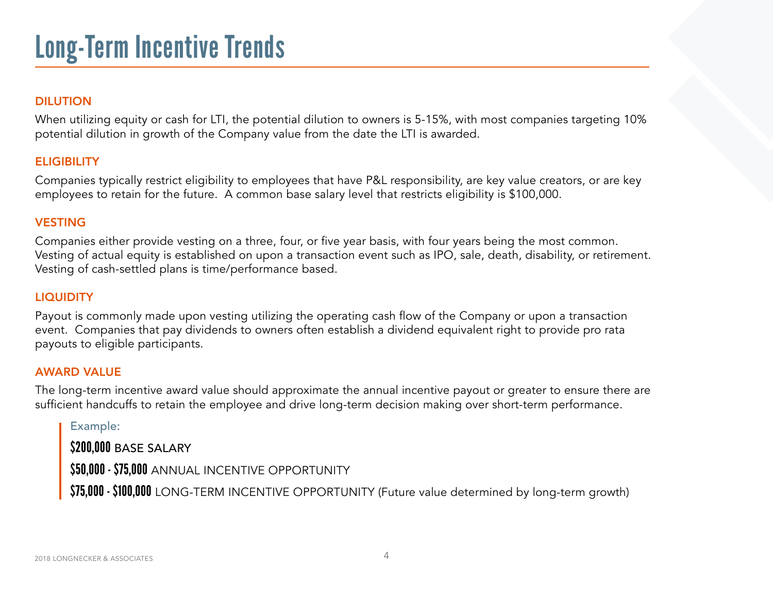#### DILUTION

When utilizing equity or cash for LTI, the potential dilution to owners is 5-15%, with most companies targeting 10% potential dilution in growth of the Company value from the date the LTI is awarded.

#### **ELIGIBILITY**

Companies typically restrict eligibility to employees that have P&L responsibility, are key value creators, or are key employees to retain for the future. A common base salary level that restricts eligibility is \$100,000.

#### VESTING

Companies either provide vesting on a three, four, or five year basis, with four years being the most common. Vesting of actual equity is established on upon a transaction event such as IPO, sale, death, disability, or retirement. Vesting of cash-settled plans is time/performance based.

#### **LIQUIDITY**

Payout is commonly made upon vesting utilizing the operating cash flow of the Company or upon a transaction event. Companies that pay dividends to owners often establish a dividend equivalent right to provide pro rata payouts to eligible participants.

#### AWARD VALUE

The long-term incentive award value should approximate the annual incentive payout or greater to ensure there are sufficient handcuffs to retain the employee and drive long-term decision making over short-term performance.

#### Example:

\$200,000 BASE SALARY

\$50,000 - \$75,000 ANNUAL INCENTIVE OPPORTUNITY

\$75,000 - \$100,000 LONG-TERM INCENTIVE OPPORTUNITY (Future value determined by long-term growth)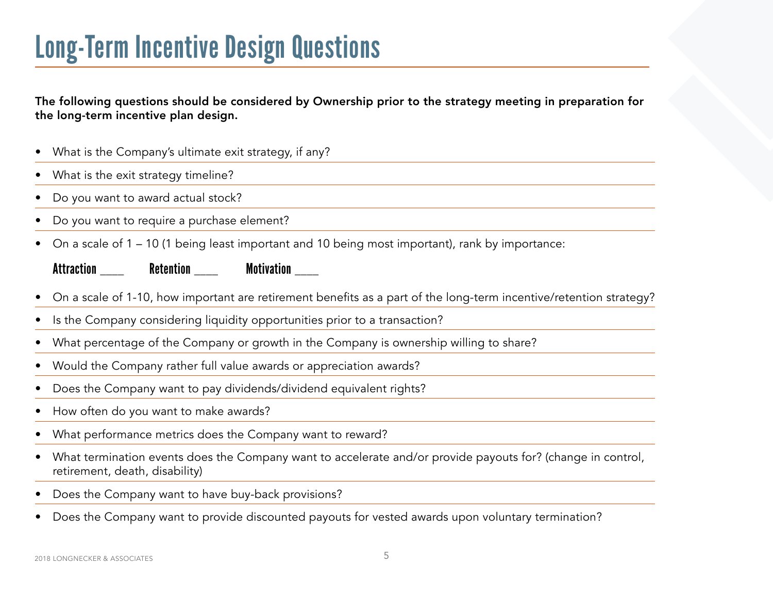### Long-Term Incentive Design Questions

The following questions should be considered by Ownership prior to the strategy meeting in preparation for the long-term incentive plan design.

• What is the Company's ultimate exit strategy, if any? What is the exit strategy timeline? • Do you want to award actual stock? • Do you want to require a purchase element? • On a scale of 1 – 10 (1 being least important and 10 being most important), rank by importance:

### Attraction Retention Motivation

- On a scale of 1-10, how important are retirement benefits as a part of the long-term incentive/retention strategy?
- Is the Company considering liquidity opportunities prior to a transaction?
- What percentage of the Company or growth in the Company is ownership willing to share?
- Would the Company rather full value awards or appreciation awards?
- Does the Company want to pay dividends/dividend equivalent rights?
- How often do you want to make awards?
- What performance metrics does the Company want to reward?
- What termination events does the Company want to accelerate and/or provide payouts for? (change in control, retirement, death, disability)
- Does the Company want to have buy-back provisions?
- Does the Company want to provide discounted payouts for vested awards upon voluntary termination?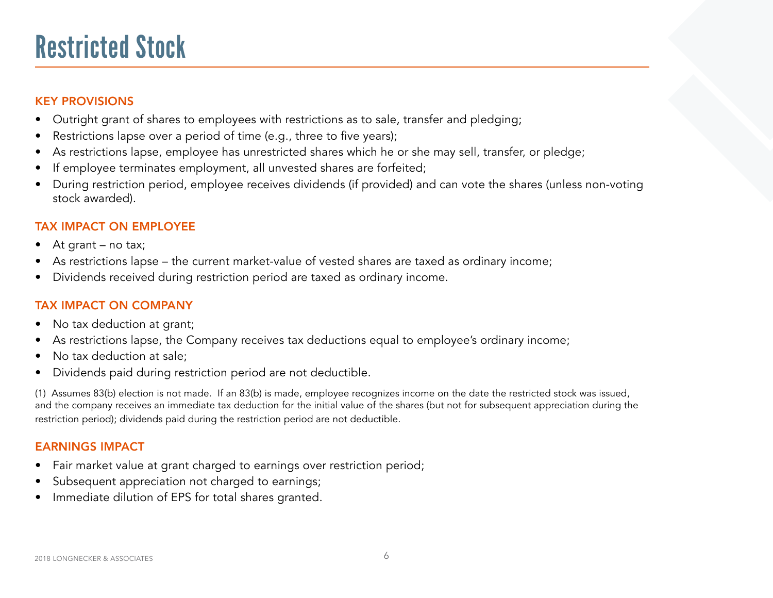### Restricted Stock

### KEY PROVISIONS

- Outright grant of shares to employees with restrictions as to sale, transfer and pledging;
- Restrictions lapse over a period of time (e.g., three to five years);
- As restrictions lapse, employee has unrestricted shares which he or she may sell, transfer, or pledge;
- If employee terminates employment, all unvested shares are forfeited;
- During restriction period, employee receives dividends (if provided) and can vote the shares (unless non-voting stock awarded).

### TAX IMPACT ON EMPLOYEE

- At grant no tax;
- As restrictions lapse the current market-value of vested shares are taxed as ordinary income;
- Dividends received during restriction period are taxed as ordinary income.

### TAX IMPACT ON COMPANY

- No tax deduction at grant;
- As restrictions lapse, the Company receives tax deductions equal to employee's ordinary income;
- No tax deduction at sale;
- Dividends paid during restriction period are not deductible.

(1) Assumes 83(b) election is not made. If an 83(b) is made, employee recognizes income on the date the restricted stock was issued, and the company receives an immediate tax deduction for the initial value of the shares (but not for subsequent appreciation during the restriction period); dividends paid during the restriction period are not deductible.

- Fair market value at grant charged to earnings over restriction period;
- Subsequent appreciation not charged to earnings;
- Immediate dilution of EPS for total shares granted.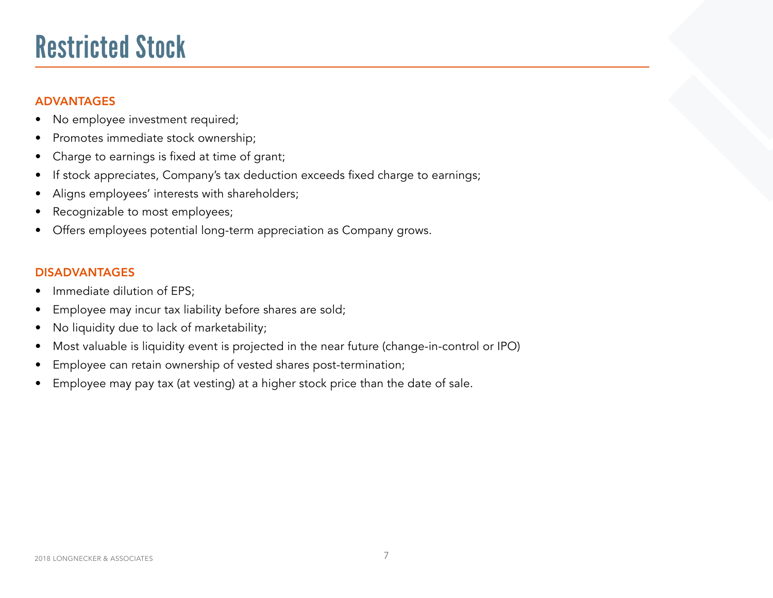### Restricted Stock

### ADVANTAGES

- No employee investment required;
- Promotes immediate stock ownership;
- Charge to earnings is fixed at time of grant;
- If stock appreciates, Company's tax deduction exceeds fixed charge to earnings;
- Aligns employees' interests with shareholders;
- Recognizable to most employees;
- Offers employees potential long-term appreciation as Company grows.

- Immediate dilution of EPS:
- Employee may incur tax liability before shares are sold;
- No liquidity due to lack of marketability;
- Most valuable is liquidity event is projected in the near future (change-in-control or IPO)
- Employee can retain ownership of vested shares post-termination;
- Employee may pay tax (at vesting) at a higher stock price than the date of sale.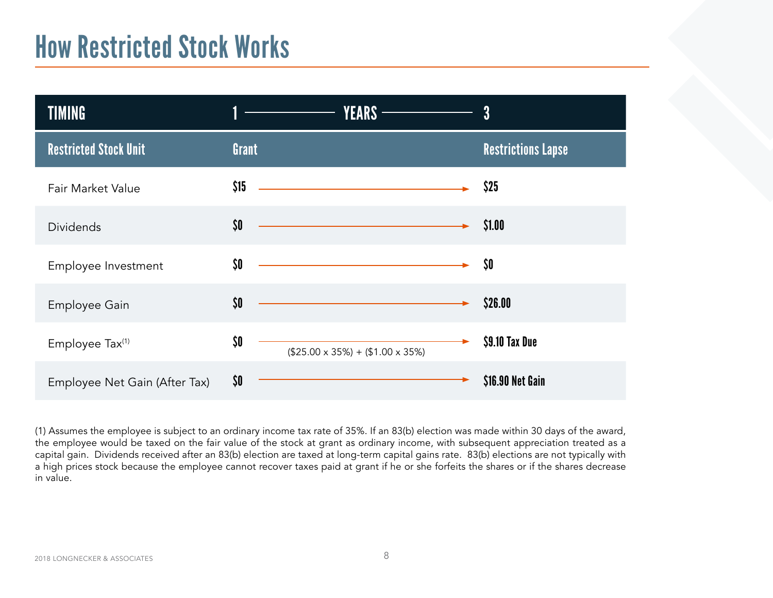### How Restricted Stock Works

| TIMING                        | <b>YEARS -</b>                                                                                                               | 3                         |
|-------------------------------|------------------------------------------------------------------------------------------------------------------------------|---------------------------|
| <b>Restricted Stock Unit</b>  | Grant                                                                                                                        | <b>Restrictions Lapse</b> |
| Fair Market Value             | \$15<br><u> 1989 - Johann Barn, mars ann an t-Amhain Aonaich an t-Aonaich an t-Aonaich ann an t-Aonaich ann an t-Aonaich</u> | \$25                      |
| <b>Dividends</b>              | \$0<br><u> 1989 - Johann Barn, mars eta bainar eta idazlea (h. 1989).</u>                                                    | \$1.00                    |
| Employee Investment           | \$0<br><u> 1989 - Johann Barn, amerikansk politiker (d. 1989)</u>                                                            | \$0                       |
| Employee Gain                 | \$0                                                                                                                          | \$26.00                   |
| Employee Tax <sup>(1)</sup>   | \$0<br>$($25.00 \times 35\%) + ($1.00 \times 35\%)$                                                                          | \$9.10 Tax Due            |
| Employee Net Gain (After Tax) | \$0                                                                                                                          | \$16.90 Net Gain          |

(1) Assumes the employee is subject to an ordinary income tax rate of 35%. If an 83(b) election was made within 30 days of the award, the employee would be taxed on the fair value of the stock at grant as ordinary income, with subsequent appreciation treated as a capital gain. Dividends received after an 83(b) election are taxed at long-term capital gains rate. 83(b) elections are not typically with a high prices stock because the employee cannot recover taxes paid at grant if he or she forfeits the shares or if the shares decrease in value.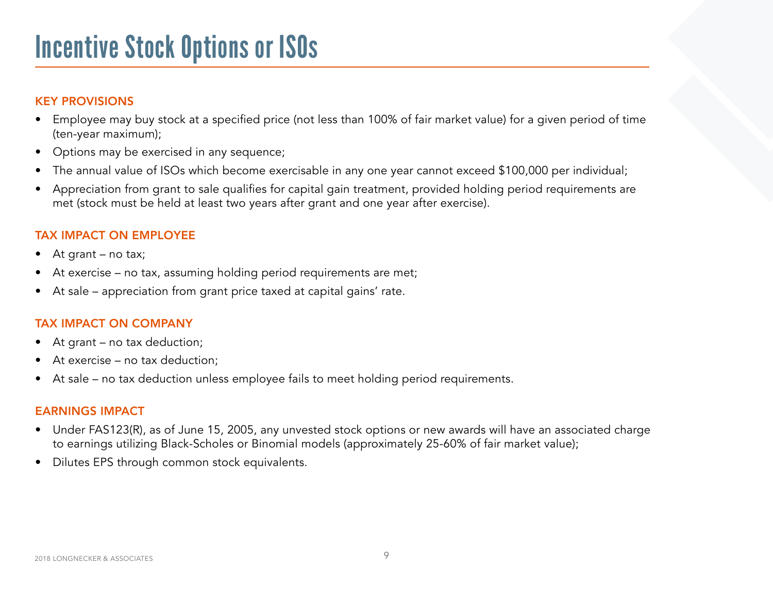### Incentive Stock Options or ISOs

### KEY PROVISIONS

- Employee may buy stock at a specified price (not less than 100% of fair market value) for a given period of time (ten-year maximum);
- Options may be exercised in any sequence;
- The annual value of ISOs which become exercisable in any one year cannot exceed \$100,000 per individual;
- Appreciation from grant to sale qualifies for capital gain treatment, provided holding period requirements are met (stock must be held at least two years after grant and one year after exercise).

### TAX IMPACT ON EMPLOYEE

- At grant no tax;
- At exercise no tax, assuming holding period requirements are met;
- At sale appreciation from grant price taxed at capital gains' rate.

### TAX IMPACT ON COMPANY

- At grant no tax deduction;
- At exercise no tax deduction;
- At sale no tax deduction unless employee fails to meet holding period requirements.

- Under FAS123(R), as of June 15, 2005, any unvested stock options or new awards will have an associated charge to earnings utilizing Black-Scholes or Binomial models (approximately 25-60% of fair market value);
- Dilutes EPS through common stock equivalents.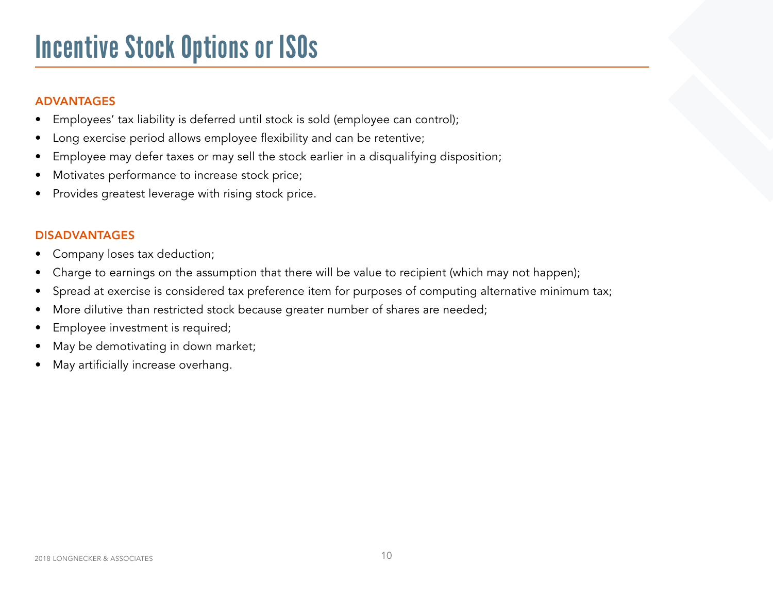## Incentive Stock Options or ISOs

#### ADVANTAGES

- Employees' tax liability is deferred until stock is sold (employee can control);
- Long exercise period allows employee flexibility and can be retentive;
- Employee may defer taxes or may sell the stock earlier in a disqualifying disposition;
- Motivates performance to increase stock price;
- Provides greatest leverage with rising stock price.

- Company loses tax deduction;
- Charge to earnings on the assumption that there will be value to recipient (which may not happen);
- Spread at exercise is considered tax preference item for purposes of computing alternative minimum tax;
- More dilutive than restricted stock because greater number of shares are needed;
- Employee investment is required;
- May be demotivating in down market;
- May artificially increase overhang.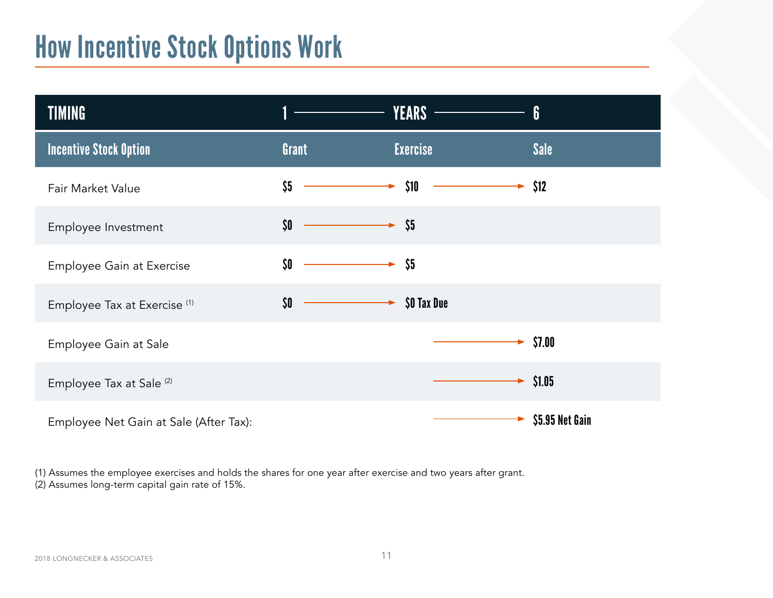### How Incentive Stock Options Work

| <b>TIMING</b>                           |       | <b>YEARS</b>              | 6                    |
|-----------------------------------------|-------|---------------------------|----------------------|
| <b>Incentive Stock Option</b>           | Grant | <b>Exercise</b>           | <b>Sale</b>          |
| Fair Market Value                       | \$5   | \$10                      | \$12                 |
| Employee Investment                     | \$0   | $\blacktriangleright$ \$5 |                      |
| Employee Gain at Exercise               | \$0   | \$5                       |                      |
| Employee Tax at Exercise <sup>(1)</sup> | \$0   | \$0 Tax Due               |                      |
| Employee Gain at Sale                   |       |                           | \$7.00               |
| Employee Tax at Sale <sup>(2)</sup>     |       |                           | $\rightarrow$ \$1.05 |
| Employee Net Gain at Sale (After Tax):  |       |                           | \$5.95 Net Gain      |

(1) Assumes the employee exercises and holds the shares for one year after exercise and two years after grant. (2) Assumes long-term capital gain rate of 15%.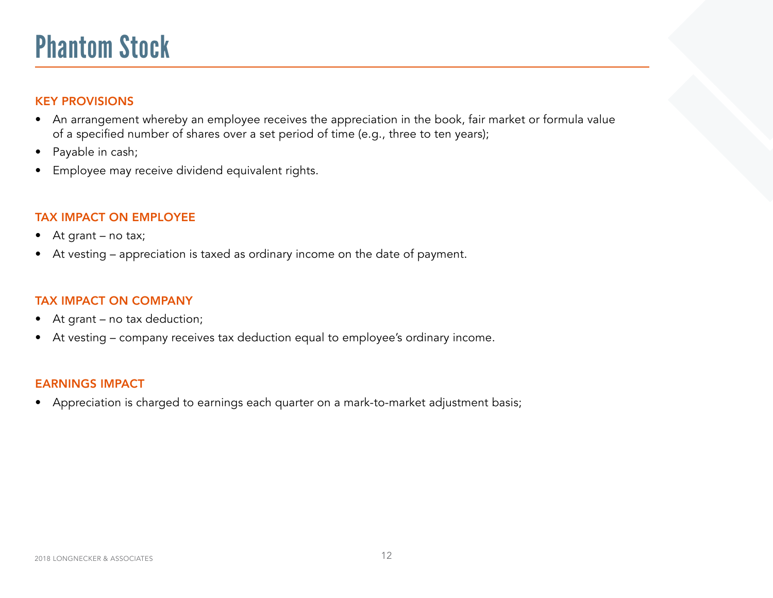### Phantom Stock

### KEY PROVISIONS

- An arrangement whereby an employee receives the appreciation in the book, fair market or formula value of a specified number of shares over a set period of time (e.g., three to ten years);
- Payable in cash;
- Employee may receive dividend equivalent rights.

### TAX IMPACT ON EMPLOYEE

- At grant no tax;
- At vesting appreciation is taxed as ordinary income on the date of payment.

### TAX IMPACT ON COMPANY

- At grant no tax deduction;
- At vesting company receives tax deduction equal to employee's ordinary income.

#### EARNINGS IMPACT

• Appreciation is charged to earnings each quarter on a mark-to-market adjustment basis;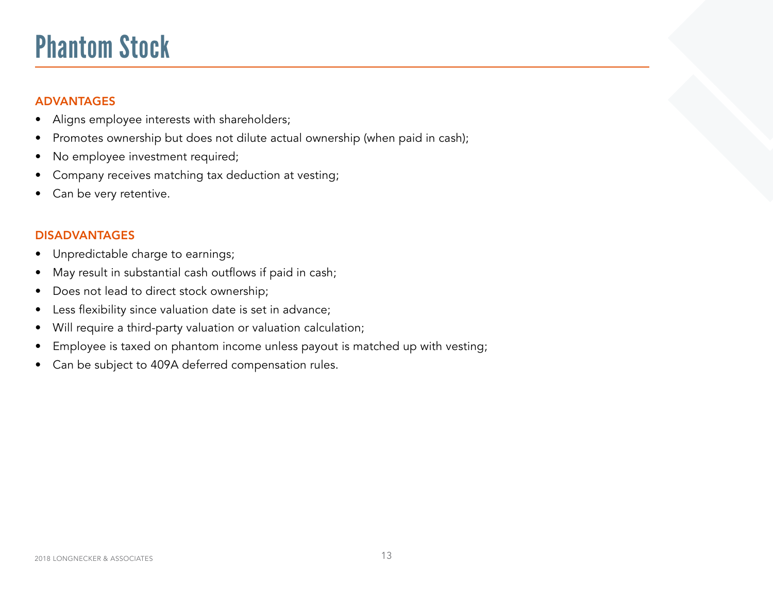### Phantom Stock

### ADVANTAGES

- Aligns employee interests with shareholders;
- Promotes ownership but does not dilute actual ownership (when paid in cash);
- No employee investment required;
- Company receives matching tax deduction at vesting;
- Can be very retentive.

- Unpredictable charge to earnings;
- May result in substantial cash outflows if paid in cash;
- Does not lead to direct stock ownership;
- Less flexibility since valuation date is set in advance;
- Will require a third-party valuation or valuation calculation;
- Employee is taxed on phantom income unless payout is matched up with vesting;
- Can be subject to 409A deferred compensation rules.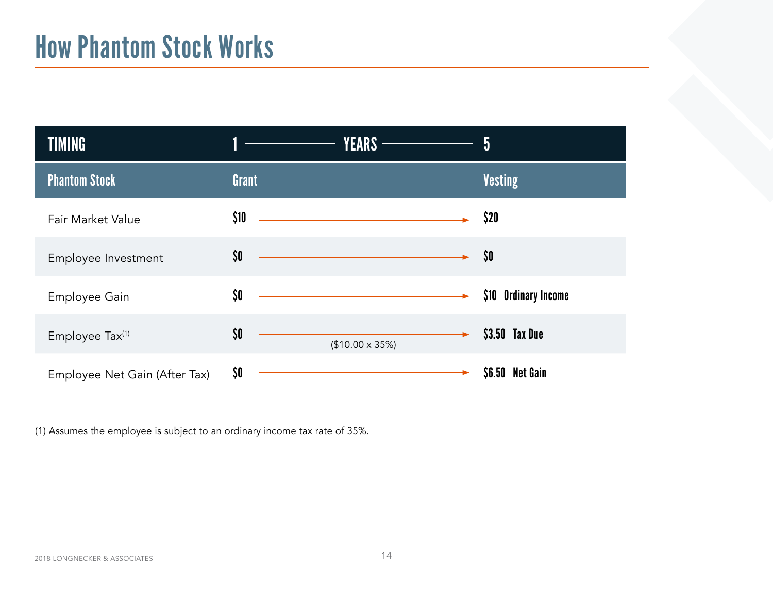### How Phantom Stock Works

| <b>TIMING</b>                 | <b>YEARS</b> —————                                                                                                           | 5                    |
|-------------------------------|------------------------------------------------------------------------------------------------------------------------------|----------------------|
| <b>Phantom Stock</b>          | Grant                                                                                                                        | <b>Vesting</b>       |
| Fair Market Value             | \$10<br><u> 1980 - Johann Barn, amerikan besteman besteman besteman besteman besteman besteman besteman besteman bestema</u> | \$20                 |
| Employee Investment           | \$0<br><u> 1980 - Johann Barn, mars ann an t-Amhain Aonaich an t-Aonaich an t-Aonaich an t-Aonaich an t-Aonaich an t-Aon</u> | \$0                  |
| Employee Gain                 | \$0\$                                                                                                                        | \$10 Ordinary Income |
| Employee Tax <sup>(1)</sup>   | \$0<br>$($10.00 \times 35\%)$                                                                                                | \$3.50 Tax Due       |
| Employee Net Gain (After Tax) | \$0                                                                                                                          | \$6.50 Net Gain      |

(1) Assumes the employee is subject to an ordinary income tax rate of 35%.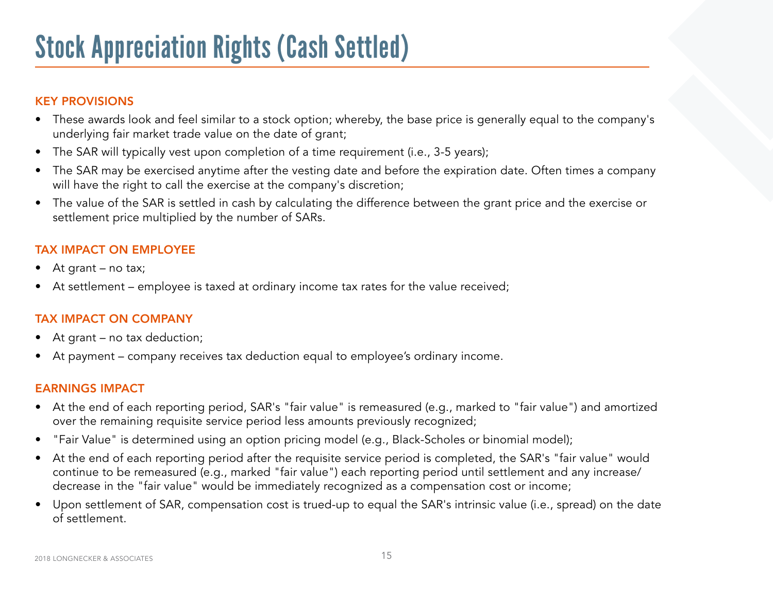### KEY PROVISIONS

- These awards look and feel similar to a stock option; whereby, the base price is generally equal to the company's underlying fair market trade value on the date of grant;
- The SAR will typically vest upon completion of a time requirement (i.e., 3-5 years);
- The SAR may be exercised anytime after the vesting date and before the expiration date. Often times a company will have the right to call the exercise at the company's discretion;
- The value of the SAR is settled in cash by calculating the difference between the grant price and the exercise or settlement price multiplied by the number of SARs.

### TAX IMPACT ON EMPLOYEE

- At grant no tax;
- At settlement employee is taxed at ordinary income tax rates for the value received;

### TAX IMPACT ON COMPANY

- At grant no tax deduction;
- At payment company receives tax deduction equal to employee's ordinary income.

- At the end of each reporting period, SAR's "fair value" is remeasured (e.g., marked to "fair value") and amortized over the remaining requisite service period less amounts previously recognized;
- "Fair Value" is determined using an option pricing model (e.g., Black-Scholes or binomial model);
- At the end of each reporting period after the requisite service period is completed, the SAR's "fair value" would continue to be remeasured (e.g., marked "fair value") each reporting period until settlement and any increase/ decrease in the "fair value" would be immediately recognized as a compensation cost or income;
- Upon settlement of SAR, compensation cost is trued-up to equal the SAR's intrinsic value (i.e., spread) on the date of settlement.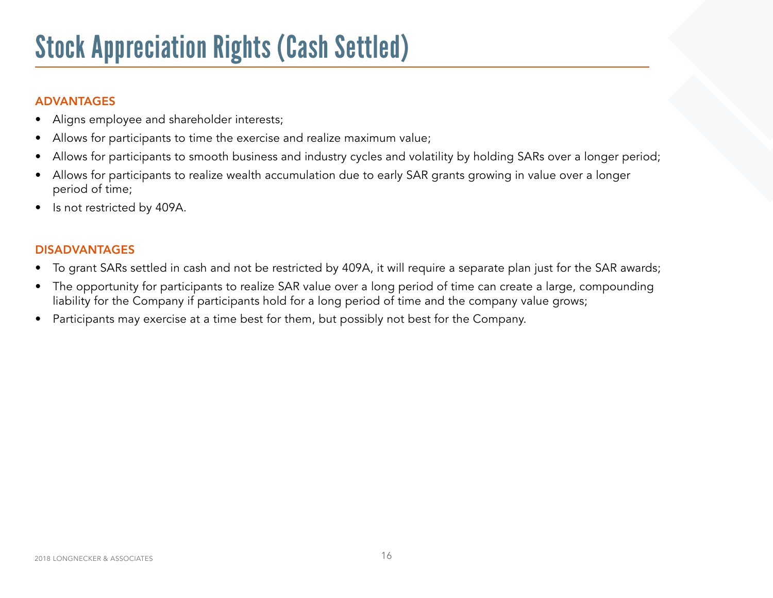## Stock Appreciation Rights (Cash Settled)

### ADVANTAGES

- Aligns employee and shareholder interests;
- Allows for participants to time the exercise and realize maximum value;
- Allows for participants to smooth business and industry cycles and volatility by holding SARs over a longer period;
- Allows for participants to realize wealth accumulation due to early SAR grants growing in value over a longer period of time;
- Is not restricted by 409A.

- To grant SARs settled in cash and not be restricted by 409A, it will require a separate plan just for the SAR awards;
- The opportunity for participants to realize SAR value over a long period of time can create a large, compounding liability for the Company if participants hold for a long period of time and the company value grows;
- Participants may exercise at a time best for them, but possibly not best for the Company.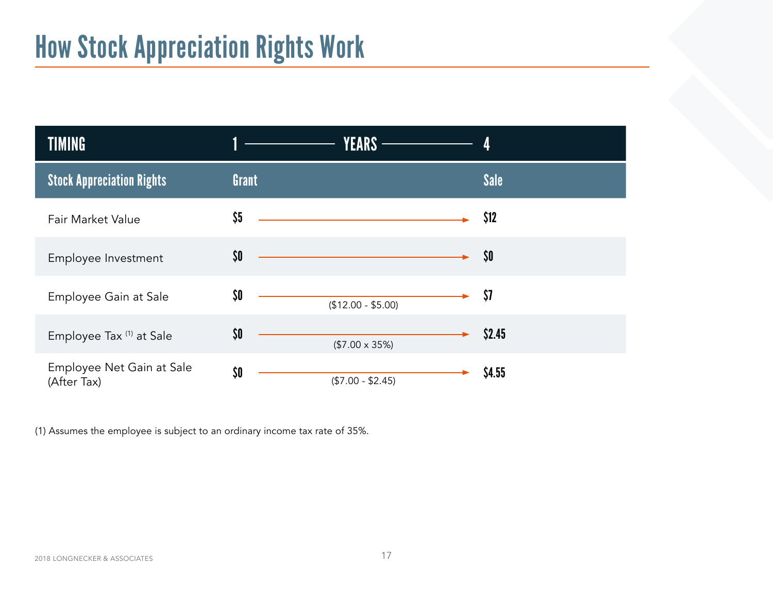# How Stock Appreciation Rights Work

| <b>TIMING</b>                            | <b>YEARS -</b>                                                 |             |
|------------------------------------------|----------------------------------------------------------------|-------------|
| <b>Stock Appreciation Rights</b>         | Grant                                                          | <b>Sale</b> |
| Fair Market Value                        | \$5<br><u> 1980 - Johann Stoff, fransk politik (d. 1980)</u>   | \$12        |
| Employee Investment                      | \$0<br><u> 1980 - Johann Barnett, fransk politik (d. 1980)</u> | \$0         |
| Employee Gain at Sale                    | \$0<br>$($12.00 - $5.00)$                                      | \$7         |
| Employee Tax (1) at Sale                 | \$0<br>$($7.00 \times 35%)$                                    | \$2.45      |
| Employee Net Gain at Sale<br>(After Tax) | \$0<br>$($7.00 - $2.45)$                                       | \$4.55      |

(1) Assumes the employee is subject to an ordinary income tax rate of 35%.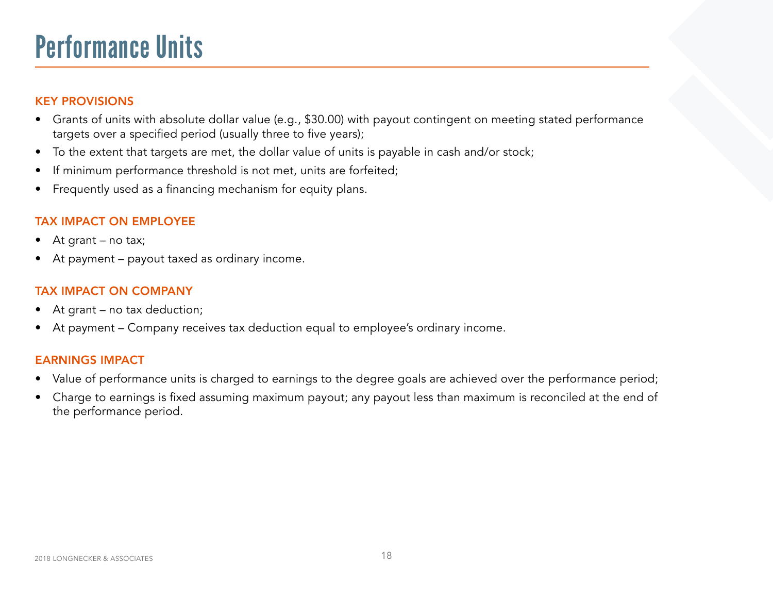### Performance Units

#### KEY PROVISIONS

- Grants of units with absolute dollar value (e.g., \$30.00) with payout contingent on meeting stated performance targets over a specified period (usually three to five years);
- To the extent that targets are met, the dollar value of units is payable in cash and/or stock;
- If minimum performance threshold is not met, units are forfeited;
- Frequently used as a financing mechanism for equity plans.

### TAX IMPACT ON EMPLOYEE

- At grant no tax;
- At payment payout taxed as ordinary income.

#### TAX IMPACT ON COMPANY

- At grant no tax deduction;
- At payment Company receives tax deduction equal to employee's ordinary income.

- Value of performance units is charged to earnings to the degree goals are achieved over the performance period;
- Charge to earnings is fixed assuming maximum payout; any payout less than maximum is reconciled at the end of the performance period.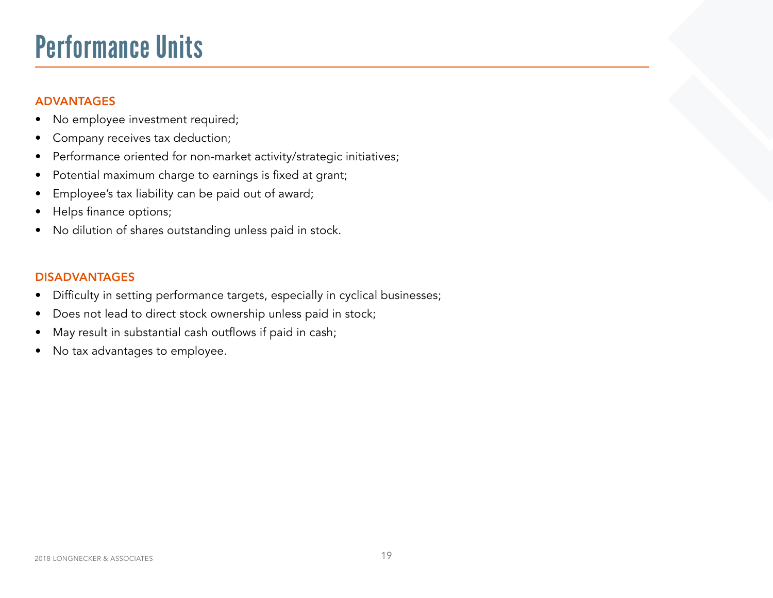### Performance Units

### ADVANTAGES

- No employee investment required;
- Company receives tax deduction;
- Performance oriented for non-market activity/strategic initiatives;
- Potential maximum charge to earnings is fixed at grant;
- Employee's tax liability can be paid out of award;
- Helps finance options;
- No dilution of shares outstanding unless paid in stock.

- Difficulty in setting performance targets, especially in cyclical businesses;
- Does not lead to direct stock ownership unless paid in stock;
- May result in substantial cash outflows if paid in cash;
- No tax advantages to employee.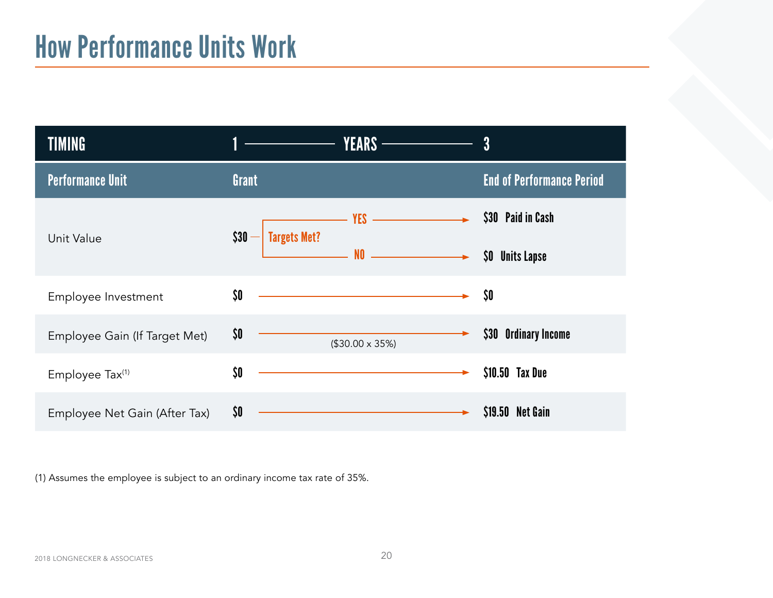| <b>TIMING</b>                 | YEARS —                                                                                                                     | 3                                                |
|-------------------------------|-----------------------------------------------------------------------------------------------------------------------------|--------------------------------------------------|
| <b>Performance Unit</b>       | Grant                                                                                                                       | <b>End of Performance Period</b>                 |
| Unit Value                    | $YES$ $\longrightarrow$<br>$$30 -$<br><b>Targets Met?</b><br>$\overline{\phantom{a}}$ NO $\overline{\phantom{a}}$           | \$30 Paid in Cash<br>\$0\$<br><b>Units Lapse</b> |
| Employee Investment           | \$0<br><u> 1980 - Johann Barn, amerikan besteman besteman besteman besteman besteman besteman besteman besteman bestema</u> | \$O                                              |
| Employee Gain (If Target Met) | \$0\$<br>$($30.00 \times 35\%)$                                                                                             | \$30 Ordinary Income                             |
| Employee Tax <sup>(1)</sup>   | \$0                                                                                                                         | \$10.50 Tax Due                                  |
| Employee Net Gain (After Tax) | \$0                                                                                                                         | \$19.50 Net Gain                                 |

(1) Assumes the employee is subject to an ordinary income tax rate of 35%.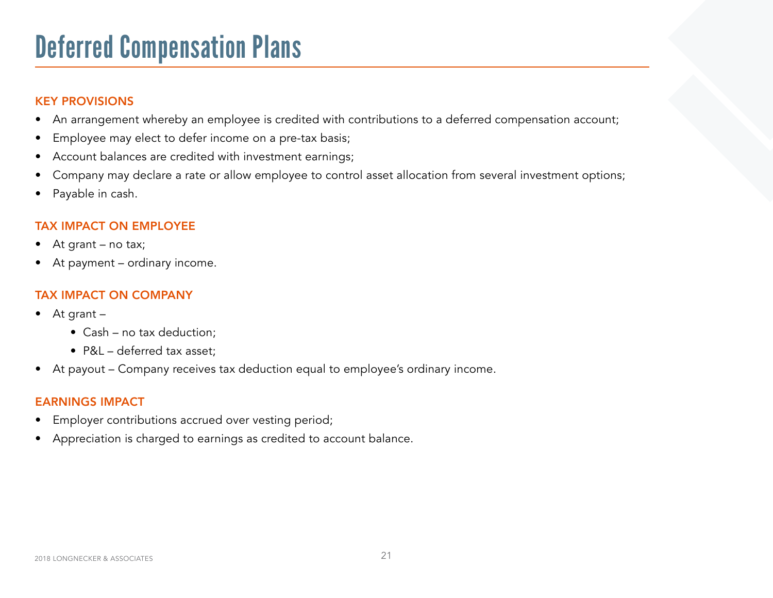### Deferred Compensation Plans

### KEY PROVISIONS

- An arrangement whereby an employee is credited with contributions to a deferred compensation account;
- Employee may elect to defer income on a pre-tax basis;
- Account balances are credited with investment earnings;
- Company may declare a rate or allow employee to control asset allocation from several investment options;
- Payable in cash.

#### TAX IMPACT ON EMPLOYEE

- At grant no tax;
- At payment ordinary income.

### TAX IMPACT ON COMPANY

- At grant
	- Cash no tax deduction;
	- P&L deferred tax asset;
- At payout Company receives tax deduction equal to employee's ordinary income.

- Employer contributions accrued over vesting period;
- Appreciation is charged to earnings as credited to account balance.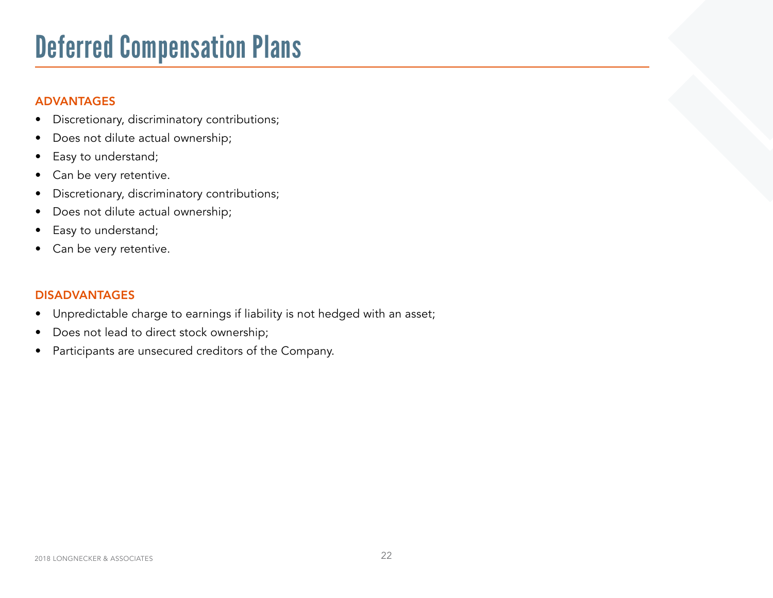## Deferred Compensation Plans

### ADVANTAGES

- Discretionary, discriminatory contributions;
- Does not dilute actual ownership;
- Easy to understand;
- Can be very retentive.
- Discretionary, discriminatory contributions;
- Does not dilute actual ownership;
- Easy to understand;
- Can be very retentive.

- Unpredictable charge to earnings if liability is not hedged with an asset;
- Does not lead to direct stock ownership;
- Participants are unsecured creditors of the Company.